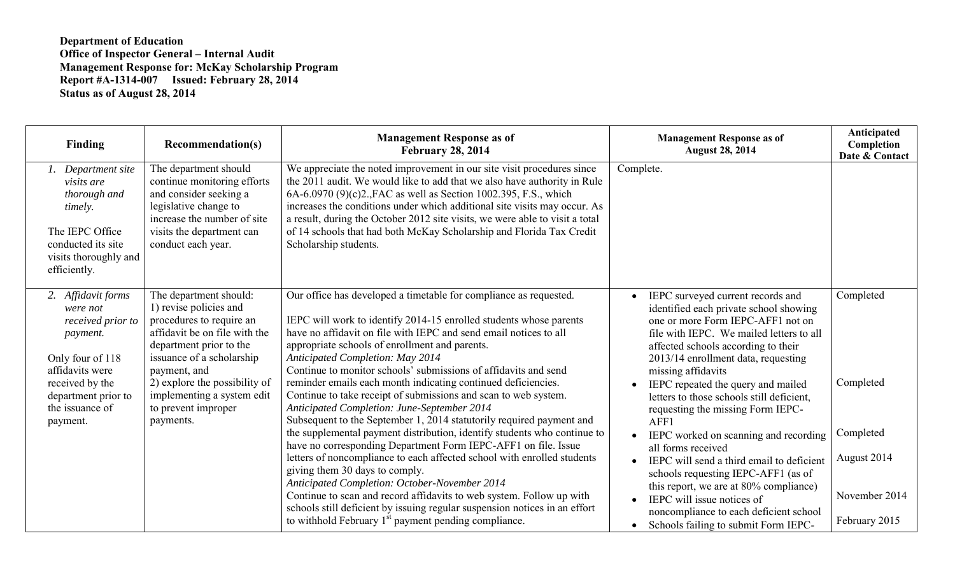## **Department of Education Office of Inspector General – Internal Audit Management Response for: McKay Scholarship Program Report #A-1314-007 Issued: February 28, 2014 Status as of August 28, 2014**

| <b>Finding</b>                                                                                                                                                                  | <b>Recommendation(s)</b>                                                                                                                                                                                                                                                                 | <b>Management Response as of</b><br><b>February 28, 2014</b>                                                                                                                                                                                                                                                                                                                                                                                                                                                                                                                                                                            | <b>Management Response as of</b><br><b>August 28, 2014</b>                                                                                                                                                                                                                                                                                                                                       | Anticipated<br>Completion<br>Date & Contact                |
|---------------------------------------------------------------------------------------------------------------------------------------------------------------------------------|------------------------------------------------------------------------------------------------------------------------------------------------------------------------------------------------------------------------------------------------------------------------------------------|-----------------------------------------------------------------------------------------------------------------------------------------------------------------------------------------------------------------------------------------------------------------------------------------------------------------------------------------------------------------------------------------------------------------------------------------------------------------------------------------------------------------------------------------------------------------------------------------------------------------------------------------|--------------------------------------------------------------------------------------------------------------------------------------------------------------------------------------------------------------------------------------------------------------------------------------------------------------------------------------------------------------------------------------------------|------------------------------------------------------------|
| Department site<br>visits are<br>thorough and<br>timely.<br>The IEPC Office<br>conducted its site<br>visits thoroughly and<br>efficiently.                                      | The department should<br>continue monitoring efforts<br>and consider seeking a<br>legislative change to<br>increase the number of site<br>visits the department can<br>conduct each year.                                                                                                | We appreciate the noted improvement in our site visit procedures since<br>the 2011 audit. We would like to add that we also have authority in Rule<br>6A-6.0970 (9)(c)2., FAC as well as Section 1002.395, F.S., which<br>increases the conditions under which additional site visits may occur. As<br>a result, during the October 2012 site visits, we were able to visit a total<br>of 14 schools that had both McKay Scholarship and Florida Tax Credit<br>Scholarship students.                                                                                                                                                    | Complete.                                                                                                                                                                                                                                                                                                                                                                                        |                                                            |
| 2. Affidavit forms<br>were not<br>received prior to<br>payment.<br>Only four of 118<br>affidavits were<br>received by the<br>department prior to<br>the issuance of<br>payment. | The department should:<br>1) revise policies and<br>procedures to require an<br>affidavit be on file with the<br>department prior to the<br>issuance of a scholarship<br>payment, and<br>2) explore the possibility of<br>implementing a system edit<br>to prevent improper<br>payments. | Our office has developed a timetable for compliance as requested.<br>IEPC will work to identify 2014-15 enrolled students whose parents<br>have no affidavit on file with IEPC and send email notices to all<br>appropriate schools of enrollment and parents.<br><b>Anticipated Completion: May 2014</b><br>Continue to monitor schools' submissions of affidavits and send<br>reminder emails each month indicating continued deficiencies.<br>Continue to take receipt of submissions and scan to web system.<br>Anticipated Completion: June-September 2014<br>Subsequent to the September 1, 2014 statutorily required payment and | IEPC surveyed current records and<br>identified each private school showing<br>one or more Form IEPC-AFF1 not on<br>file with IEPC. We mailed letters to all<br>affected schools according to their<br>2013/14 enrollment data, requesting<br>missing affidavits<br>IEPC repeated the query and mailed<br>letters to those schools still deficient,<br>requesting the missing Form IEPC-<br>AFF1 | Completed<br>Completed                                     |
|                                                                                                                                                                                 |                                                                                                                                                                                                                                                                                          | the supplemental payment distribution, identify students who continue to<br>have no corresponding Department Form IEPC-AFF1 on file. Issue<br>letters of noncompliance to each affected school with enrolled students<br>giving them 30 days to comply.<br>Anticipated Completion: October-November 2014<br>Continue to scan and record affidavits to web system. Follow up with<br>schools still deficient by issuing regular suspension notices in an effort<br>to withhold February 1 <sup>st</sup> payment pending compliance.                                                                                                      | IEPC worked on scanning and recording<br>all forms received<br>IEPC will send a third email to deficient<br>schools requesting IEPC-AFF1 (as of<br>this report, we are at 80% compliance)<br>IEPC will issue notices of<br>noncompliance to each deficient school<br>Schools failing to submit Form IEPC-<br>$\bullet$                                                                           | Completed<br>August 2014<br>November 2014<br>February 2015 |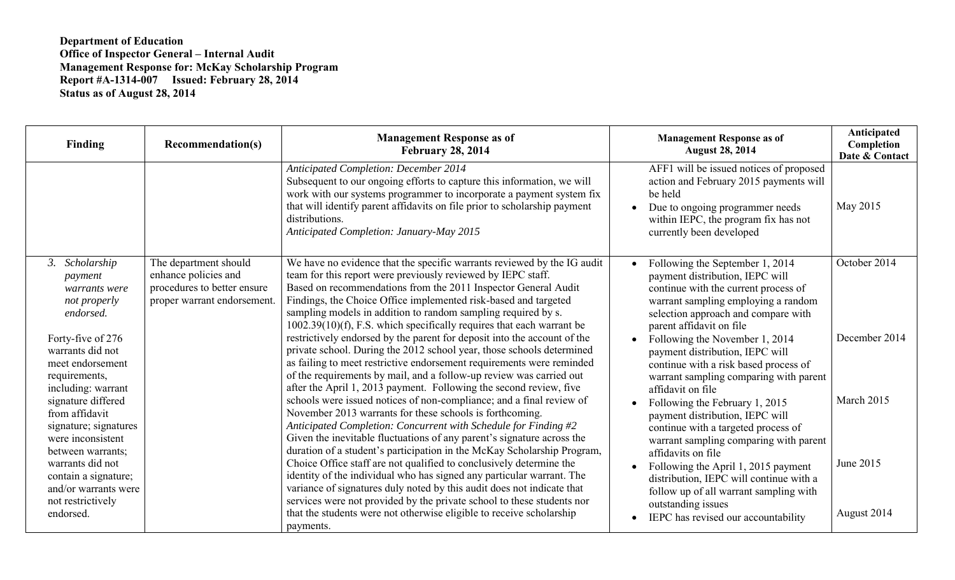## **Department of Education Office of Inspector General – Internal Audit Management Response for: McKay Scholarship Program Report #A-1314-007 Issued: February 28, 2014 Status as of August 28, 2014**

| Finding                                                                                                 | Recommendation(s)                                                                                           | <b>Management Response as of</b><br><b>February 28, 2014</b>                                                                                                                                                                                                                                                                                                                                                           | <b>Management Response as of</b><br><b>August 28, 2014</b>                                                                                                                                                           | Anticipated<br>Completion<br>Date & Contact |
|---------------------------------------------------------------------------------------------------------|-------------------------------------------------------------------------------------------------------------|------------------------------------------------------------------------------------------------------------------------------------------------------------------------------------------------------------------------------------------------------------------------------------------------------------------------------------------------------------------------------------------------------------------------|----------------------------------------------------------------------------------------------------------------------------------------------------------------------------------------------------------------------|---------------------------------------------|
|                                                                                                         |                                                                                                             | <b>Anticipated Completion: December 2014</b><br>Subsequent to our ongoing efforts to capture this information, we will<br>work with our systems programmer to incorporate a payment system fix<br>that will identify parent affidavits on file prior to scholarship payment<br>distributions.<br>Anticipated Completion: January-May 2015                                                                              | AFF1 will be issued notices of proposed<br>action and February 2015 payments will<br>be held<br>Due to ongoing programmer needs<br>within IEPC, the program fix has not<br>currently been developed                  | May 2015                                    |
| 3. Scholarship<br>payment<br>warrants were<br>not properly<br>endorsed.                                 | The department should<br>enhance policies and<br>procedures to better ensure<br>proper warrant endorsement. | We have no evidence that the specific warrants reviewed by the IG audit<br>team for this report were previously reviewed by IEPC staff.<br>Based on recommendations from the 2011 Inspector General Audit<br>Findings, the Choice Office implemented risk-based and targeted<br>sampling models in addition to random sampling required by s.<br>1002.39(10)(f), F.S. which specifically requires that each warrant be | Following the September 1, 2014<br>payment distribution, IEPC will<br>continue with the current process of<br>warrant sampling employing a random<br>selection approach and compare with<br>parent affidavit on file | October 2014                                |
| Forty-five of 276<br>warrants did not<br>meet endorsement<br>requirements,<br>including: warrant        |                                                                                                             | restrictively endorsed by the parent for deposit into the account of the<br>private school. During the 2012 school year, those schools determined<br>as failing to meet restrictive endorsement requirements were reminded<br>of the requirements by mail, and a follow-up review was carried out<br>after the April 1, 2013 payment. Following the second review, five                                                | Following the November 1, 2014<br>payment distribution, IEPC will<br>continue with a risk based process of<br>warrant sampling comparing with parent<br>affidavit on file                                            | December 2014                               |
| signature differed<br>from affidavit<br>signature; signatures<br>were inconsistent<br>between warrants; |                                                                                                             | schools were issued notices of non-compliance; and a final review of<br>November 2013 warrants for these schools is forthcoming.<br>Anticipated Completion: Concurrent with Schedule for Finding #2<br>Given the inevitable fluctuations of any parent's signature across the<br>duration of a student's participation in the McKay Scholarship Program,                                                               | Following the February 1, 2015<br>payment distribution, IEPC will<br>continue with a targeted process of<br>warrant sampling comparing with parent<br>affidavits on file                                             | March 2015                                  |
| warrants did not<br>contain a signature;<br>and/or warrants were<br>not restrictively<br>endorsed.      |                                                                                                             | Choice Office staff are not qualified to conclusively determine the<br>identity of the individual who has signed any particular warrant. The<br>variance of signatures duly noted by this audit does not indicate that<br>services were not provided by the private school to these students nor<br>that the students were not otherwise eligible to receive scholarship<br>payments.                                  | Following the April 1, 2015 payment<br>distribution, IEPC will continue with a<br>follow up of all warrant sampling with<br>outstanding issues<br>IEPC has revised our accountability                                | June 2015<br>August 2014                    |